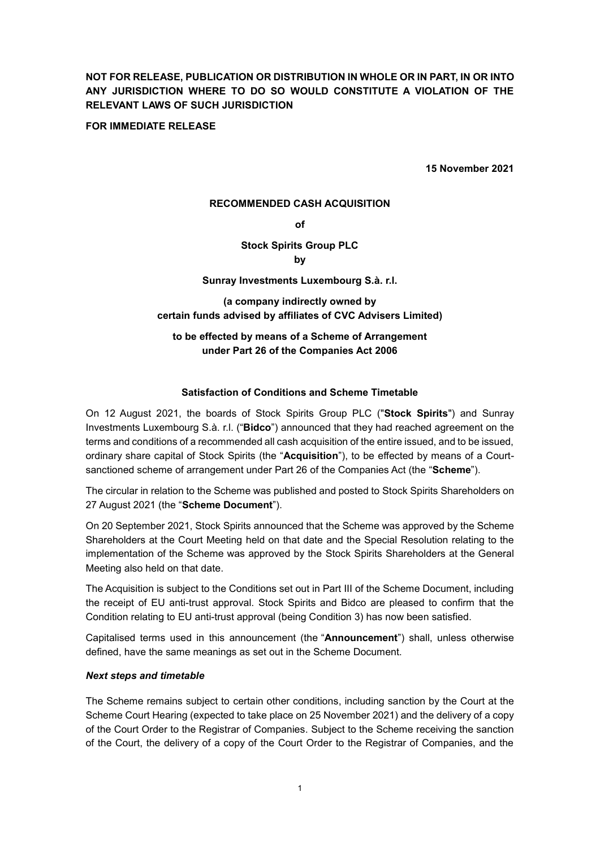# **NOT FOR RELEASE, PUBLICATION OR DISTRIBUTION IN WHOLE OR IN PART, IN OR INTO ANY JURISDICTION WHERE TO DO SO WOULD CONSTITUTE A VIOLATION OF THE RELEVANT LAWS OF SUCH JURISDICTION**

### **FOR IMMEDIATE RELEASE**

**15 November 2021**

### **RECOMMENDED CASH ACQUISITION**

**of**

# **Stock Spirits Group PLC**

**by**

# **Sunray Investments Luxembourg S.à. r.l.**

**(a company indirectly owned by certain funds advised by affiliates of CVC Advisers Limited)**

# **to be effected by means of a Scheme of Arrangement under Part 26 of the Companies Act 2006**

# **Satisfaction of Conditions and Scheme Timetable**

On 12 August 2021, the boards of Stock Spirits Group PLC ("**Stock Spirits**") and Sunray Investments Luxembourg S.à. r.l. ("**Bidco**") announced that they had reached agreement on the terms and conditions of a recommended all cash acquisition of the entire issued, and to be issued, ordinary share capital of Stock Spirits (the "**Acquisition**"), to be effected by means of a Courtsanctioned scheme of arrangement under Part 26 of the Companies Act (the "**Scheme**").

The circular in relation to the Scheme was published and posted to Stock Spirits Shareholders on 27 August 2021 (the "**Scheme Document**").

On 20 September 2021, Stock Spirits announced that the Scheme was approved by the Scheme Shareholders at the Court Meeting held on that date and the Special Resolution relating to the implementation of the Scheme was approved by the Stock Spirits Shareholders at the General Meeting also held on that date.

The Acquisition is subject to the Conditions set out in Part III of the Scheme Document, including the receipt of EU anti-trust approval. Stock Spirits and Bidco are pleased to confirm that the Condition relating to EU anti-trust approval (being Condition 3) has now been satisfied.

Capitalised terms used in this announcement (the "**Announcement**") shall, unless otherwise defined, have the same meanings as set out in the Scheme Document.

#### *Next steps and timetable*

The Scheme remains subject to certain other conditions, including sanction by the Court at the Scheme Court Hearing (expected to take place on 25 November 2021) and the delivery of a copy of the Court Order to the Registrar of Companies. Subject to the Scheme receiving the sanction of the Court, the delivery of a copy of the Court Order to the Registrar of Companies, and the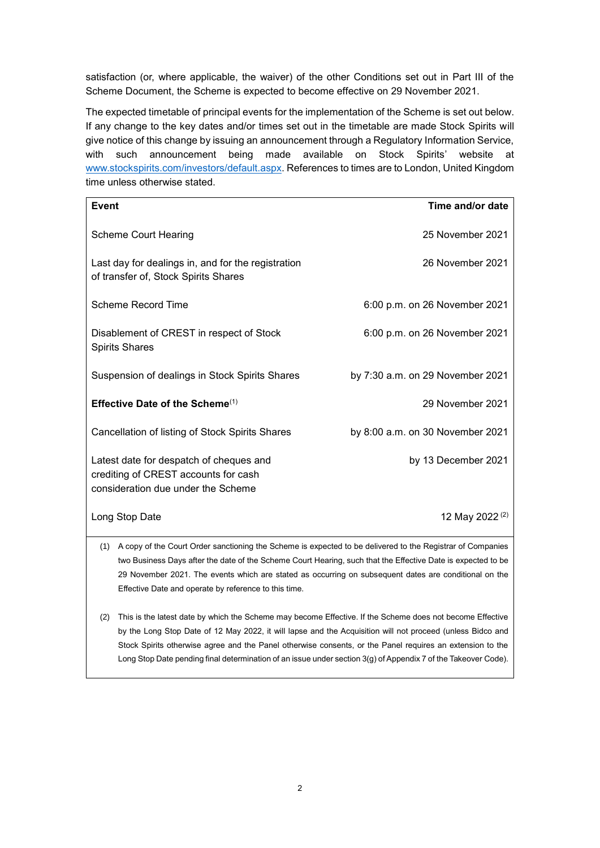satisfaction (or, where applicable, the waiver) of the other Conditions set out in Part III of the Scheme Document, the Scheme is expected to become effective on 29 November 2021.

The expected timetable of principal events for the implementation of the Scheme is set out below. If any change to the key dates and/or times set out in the timetable are made Stock Spirits will give notice of this change by issuing an announcement through a Regulatory Information Service, with such announcement being made available on Stock Spirits' website at www.stockspirits.com/investors/default.aspx. References to times are to London, United Kingdom time unless otherwise stated.

| Event                                                                                                                 | Time and/or date                 |
|-----------------------------------------------------------------------------------------------------------------------|----------------------------------|
| <b>Scheme Court Hearing</b>                                                                                           | 25 November 2021                 |
| Last day for dealings in, and for the registration<br>of transfer of, Stock Spirits Shares                            | 26 November 2021                 |
| Scheme Record Time                                                                                                    | 6:00 p.m. on 26 November 2021    |
| Disablement of CREST in respect of Stock<br><b>Spirits Shares</b>                                                     | 6:00 p.m. on 26 November 2021    |
| Suspension of dealings in Stock Spirits Shares                                                                        | by 7:30 a.m. on 29 November 2021 |
| Effective Date of the Scheme $(1)$                                                                                    | 29 November 2021                 |
| Cancellation of listing of Stock Spirits Shares                                                                       | by 8:00 a.m. on 30 November 2021 |
| Latest date for despatch of cheques and<br>crediting of CREST accounts for cash<br>consideration due under the Scheme | by 13 December 2021              |
| Long Stop Date                                                                                                        | 12 May 2022 <sup>(2)</sup>       |

- (1) A copy of the Court Order sanctioning the Scheme is expected to be delivered to the Registrar of Companies two Business Days after the date of the Scheme Court Hearing, such that the Effective Date is expected to be 29 November 2021. The events which are stated as occurring on subsequent dates are conditional on the Effective Date and operate by reference to this time.
- (2) This is the latest date by which the Scheme may become Effective. If the Scheme does not become Effective by the Long Stop Date of 12 May 2022, it will lapse and the Acquisition will not proceed (unless Bidco and Stock Spirits otherwise agree and the Panel otherwise consents, or the Panel requires an extension to the Long Stop Date pending final determination of an issue under section 3(g) of Appendix 7 of the Takeover Code).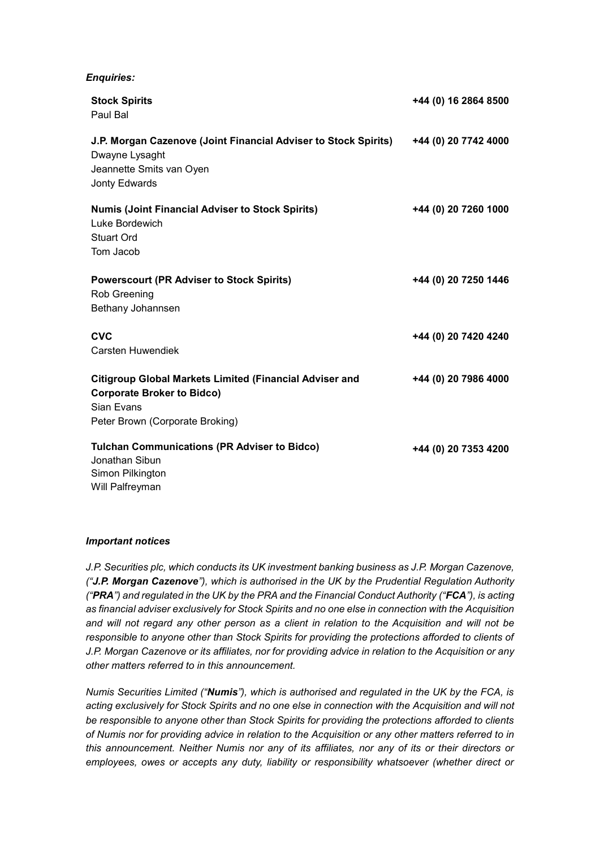### *Enquiries:*

| <b>Stock Spirits</b><br>Paul Bal                                                                                                                     | +44 (0) 16 2864 8500 |
|------------------------------------------------------------------------------------------------------------------------------------------------------|----------------------|
| J.P. Morgan Cazenove (Joint Financial Adviser to Stock Spirits)<br>Dwayne Lysaght<br>Jeannette Smits van Oyen<br>Jonty Edwards                       | +44 (0) 20 7742 4000 |
| <b>Numis (Joint Financial Adviser to Stock Spirits)</b><br>Luke Bordewich<br><b>Stuart Ord</b><br>Tom Jacob                                          | +44 (0) 20 7260 1000 |
| <b>Powerscourt (PR Adviser to Stock Spirits)</b><br><b>Rob Greening</b><br>Bethany Johannsen                                                         | +44 (0) 20 7250 1446 |
| <b>CVC</b><br><b>Carsten Huwendiek</b>                                                                                                               | +44 (0) 20 7420 4240 |
| <b>Citigroup Global Markets Limited (Financial Adviser and</b><br><b>Corporate Broker to Bidco)</b><br>Sian Evans<br>Peter Brown (Corporate Broking) | +44 (0) 20 7986 4000 |
| <b>Tulchan Communications (PR Adviser to Bidco)</b><br>Jonathan Sibun<br>Simon Pilkington<br>Will Palfreyman                                         | +44 (0) 20 7353 4200 |

#### *Important notices*

*J.P. Securities plc, which conducts its UK investment banking business as J.P. Morgan Cazenove, ("J.P. Morgan Cazenove"), which is authorised in the UK by the Prudential Regulation Authority ("PRA") and regulated in the UK by the PRA and the Financial Conduct Authority ("FCA"), is acting as financial adviser exclusively for Stock Spirits and no one else in connection with the Acquisition and will not regard any other person as a client in relation to the Acquisition and will not be responsible to anyone other than Stock Spirits for providing the protections afforded to clients of J.P. Morgan Cazenove or its affiliates, nor for providing advice in relation to the Acquisition or any other matters referred to in this announcement.*

*Numis Securities Limited ("Numis"), which is authorised and regulated in the UK by the FCA, is acting exclusively for Stock Spirits and no one else in connection with the Acquisition and will not be responsible to anyone other than Stock Spirits for providing the protections afforded to clients of Numis nor for providing advice in relation to the Acquisition or any other matters referred to in this announcement. Neither Numis nor any of its affiliates, nor any of its or their directors or employees, owes or accepts any duty, liability or responsibility whatsoever (whether direct or*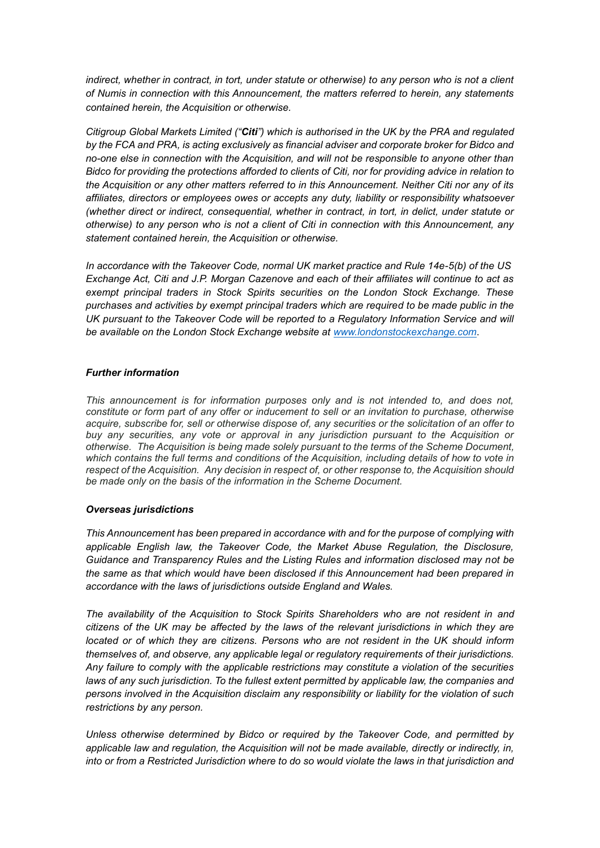*indirect, whether in contract, in tort, under statute or otherwise) to any person who is not a client of Numis in connection with this Announcement, the matters referred to herein, any statements contained herein, the Acquisition or otherwise.*

*Citigroup Global Markets Limited ("Citi") which is authorised in the UK by the PRA and regulated*  by the FCA and PRA, is acting exclusively as financial adviser and corporate broker for Bidco and *no-one else in connection with the Acquisition, and will not be responsible to anyone other than Bidco for providing the protections afforded to clients of Citi, nor for providing advice in relation to the Acquisition or any other matters referred to in this Announcement. Neither Citi nor any of its affiliates, directors or employees owes or accepts any duty, liability or responsibility whatsoever (whether direct or indirect, consequential, whether in contract, in tort, in delict, under statute or otherwise) to any person who is not a client of Citi in connection with this Announcement, any statement contained herein, the Acquisition or otherwise.*

*In accordance with the Takeover Code, normal UK market practice and Rule 14e-5(b) of the US Exchange Act, Citi and J.P. Morgan Cazenove and each of their affiliates will continue to act as exempt principal traders in Stock Spirits securities on the London Stock Exchange. These purchases and activities by exempt principal traders which are required to be made public in the UK pursuant to the Takeover Code will be reported to a Regulatory Information Service and will be available on the London Stock Exchange website at www.londonstockexchange.com*.

### *Further information*

*This announcement is for information purposes only and is not intended to, and does not, constitute or form part of any offer or inducement to sell or an invitation to purchase, otherwise acquire, subscribe for, sell or otherwise dispose of, any securities or the solicitation of an offer to buy any securities, any vote or approval in any jurisdiction pursuant to the Acquisition or otherwise. The Acquisition is being made solely pursuant to the terms of the Scheme Document, which contains the full terms and conditions of the Acquisition, including details of how to vote in respect of the Acquisition. Any decision in respect of, or other response to, the Acquisition should be made only on the basis of the information in the Scheme Document.*

#### *Overseas jurisdictions*

*This Announcement has been prepared in accordance with and for the purpose of complying with applicable English law, the Takeover Code, the Market Abuse Regulation, the Disclosure, Guidance and Transparency Rules and the Listing Rules and information disclosed may not be the same as that which would have been disclosed if this Announcement had been prepared in accordance with the laws of jurisdictions outside England and Wales.*

*The availability of the Acquisition to Stock Spirits Shareholders who are not resident in and citizens of the UK may be affected by the laws of the relevant jurisdictions in which they are located or of which they are citizens. Persons who are not resident in the UK should inform themselves of, and observe, any applicable legal or regulatory requirements of their jurisdictions. Any failure to comply with the applicable restrictions may constitute a violation of the securities*  laws of any such jurisdiction. To the fullest extent permitted by applicable law, the companies and *persons involved in the Acquisition disclaim any responsibility or liability for the violation of such restrictions by any person.*

*Unless otherwise determined by Bidco or required by the Takeover Code, and permitted by applicable law and regulation, the Acquisition will not be made available, directly or indirectly, in, into or from a Restricted Jurisdiction where to do so would violate the laws in that jurisdiction and*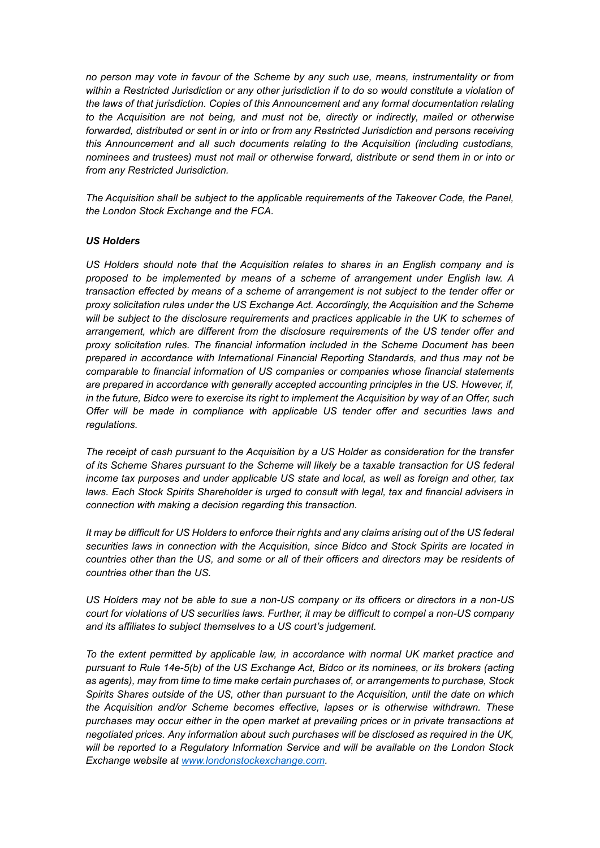*no person may vote in favour of the Scheme by any such use, means, instrumentality or from within a Restricted Jurisdiction or any other jurisdiction if to do so would constitute a violation of the laws of that jurisdiction. Copies of this Announcement and any formal documentation relating to the Acquisition are not being, and must not be, directly or indirectly, mailed or otherwise forwarded, distributed or sent in or into or from any Restricted Jurisdiction and persons receiving this Announcement and all such documents relating to the Acquisition (including custodians, nominees and trustees) must not mail or otherwise forward, distribute or send them in or into or from any Restricted Jurisdiction.* 

*The Acquisition shall be subject to the applicable requirements of the Takeover Code, the Panel, the London Stock Exchange and the FCA.*

### *US Holders*

*US Holders should note that the Acquisition relates to shares in an English company and is proposed to be implemented by means of a scheme of arrangement under English law. A transaction effected by means of a scheme of arrangement is not subject to the tender offer or proxy solicitation rules under the US Exchange Act. Accordingly, the Acquisition and the Scheme*  will be subject to the disclosure requirements and practices applicable in the UK to schemes of *arrangement, which are different from the disclosure requirements of the US tender offer and proxy solicitation rules. The financial information included in the Scheme Document has been prepared in accordance with International Financial Reporting Standards, and thus may not be comparable to financial information of US companies or companies whose financial statements are prepared in accordance with generally accepted accounting principles in the US. However, if, in the future, Bidco were to exercise its right to implement the Acquisition by way of an Offer, such Offer will be made in compliance with applicable US tender offer and securities laws and regulations.*

*The receipt of cash pursuant to the Acquisition by a US Holder as consideration for the transfer of its Scheme Shares pursuant to the Scheme will likely be a taxable transaction for US federal income tax purposes and under applicable US state and local, as well as foreign and other, tax laws. Each Stock Spirits Shareholder is urged to consult with legal, tax and financial advisers in connection with making a decision regarding this transaction.*

*It may be difficult for US Holders to enforce their rights and any claims arising out of the US federal securities laws in connection with the Acquisition, since Bidco and Stock Spirits are located in countries other than the US, and some or all of their officers and directors may be residents of countries other than the US.*

*US Holders may not be able to sue a non-US company or its officers or directors in a non-US court for violations of US securities laws. Further, it may be difficult to compel a non-US company and its affiliates to subject themselves to a US court's judgement.* 

*To the extent permitted by applicable law, in accordance with normal UK market practice and pursuant to Rule 14e-5(b) of the US Exchange Act, Bidco or its nominees, or its brokers (acting as agents), may from time to time make certain purchases of, or arrangements to purchase, Stock Spirits Shares outside of the US, other than pursuant to the Acquisition, until the date on which the Acquisition and/or Scheme becomes effective, lapses or is otherwise withdrawn. These purchases may occur either in the open market at prevailing prices or in private transactions at negotiated prices. Any information about such purchases will be disclosed as required in the UK, will be reported to a Regulatory Information Service and will be available on the London Stock Exchange website at www.londonstockexchange.com.*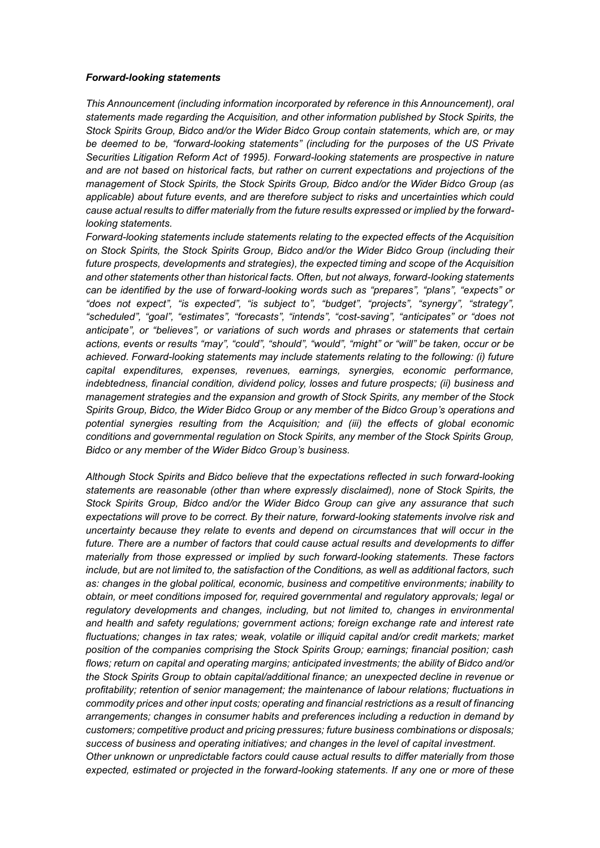#### *Forward-looking statements*

*This Announcement (including information incorporated by reference in this Announcement), oral statements made regarding the Acquisition, and other information published by Stock Spirits, the Stock Spirits Group, Bidco and/or the Wider Bidco Group contain statements, which are, or may be deemed to be, "forward-looking statements" (including for the purposes of the US Private Securities Litigation Reform Act of 1995). Forward-looking statements are prospective in nature and are not based on historical facts, but rather on current expectations and projections of the management of Stock Spirits, the Stock Spirits Group, Bidco and/or the Wider Bidco Group (as applicable) about future events, and are therefore subject to risks and uncertainties which could cause actual results to differ materially from the future results expressed or implied by the forwardlooking statements.* 

*Forward-looking statements include statements relating to the expected effects of the Acquisition on Stock Spirits, the Stock Spirits Group, Bidco and/or the Wider Bidco Group (including their future prospects, developments and strategies), the expected timing and scope of the Acquisition and other statements other than historical facts. Often, but not always, forward-looking statements can be identified by the use of forward-looking words such as "prepares", "plans", "expects" or "does not expect", "is expected", "is subject to", "budget", "projects", "synergy", "strategy", "scheduled", "goal", "estimates", "forecasts", "intends", "cost-saving", "anticipates" or "does not anticipate", or "believes", or variations of such words and phrases or statements that certain actions, events or results "may", "could", "should", "would", "might" or "will" be taken, occur or be achieved. Forward-looking statements may include statements relating to the following: (i) future capital expenditures, expenses, revenues, earnings, synergies, economic performance, indebtedness, financial condition, dividend policy, losses and future prospects; (ii) business and management strategies and the expansion and growth of Stock Spirits, any member of the Stock Spirits Group, Bidco, the Wider Bidco Group or any member of the Bidco Group's operations and potential synergies resulting from the Acquisition; and (iii) the effects of global economic conditions and governmental regulation on Stock Spirits, any member of the Stock Spirits Group, Bidco or any member of the Wider Bidco Group's business.* 

*Although Stock Spirits and Bidco believe that the expectations reflected in such forward-looking statements are reasonable (other than where expressly disclaimed), none of Stock Spirits, the Stock Spirits Group, Bidco and/or the Wider Bidco Group can give any assurance that such expectations will prove to be correct. By their nature, forward-looking statements involve risk and uncertainty because they relate to events and depend on circumstances that will occur in the future. There are a number of factors that could cause actual results and developments to differ materially from those expressed or implied by such forward-looking statements. These factors include, but are not limited to, the satisfaction of the Conditions, as well as additional factors, such as: changes in the global political, economic, business and competitive environments; inability to obtain, or meet conditions imposed for, required governmental and regulatory approvals; legal or regulatory developments and changes, including, but not limited to, changes in environmental and health and safety regulations; government actions; foreign exchange rate and interest rate fluctuations; changes in tax rates; weak, volatile or illiquid capital and/or credit markets; market position of the companies comprising the Stock Spirits Group; earnings; financial position; cash flows; return on capital and operating margins; anticipated investments; the ability of Bidco and/or the Stock Spirits Group to obtain capital/additional finance; an unexpected decline in revenue or profitability; retention of senior management; the maintenance of labour relations; fluctuations in commodity prices and other input costs; operating and financial restrictions as a result of financing arrangements; changes in consumer habits and preferences including a reduction in demand by customers; competitive product and pricing pressures; future business combinations or disposals; success of business and operating initiatives; and changes in the level of capital investment. Other unknown or unpredictable factors could cause actual results to differ materially from those expected, estimated or projected in the forward-looking statements. If any one or more of these*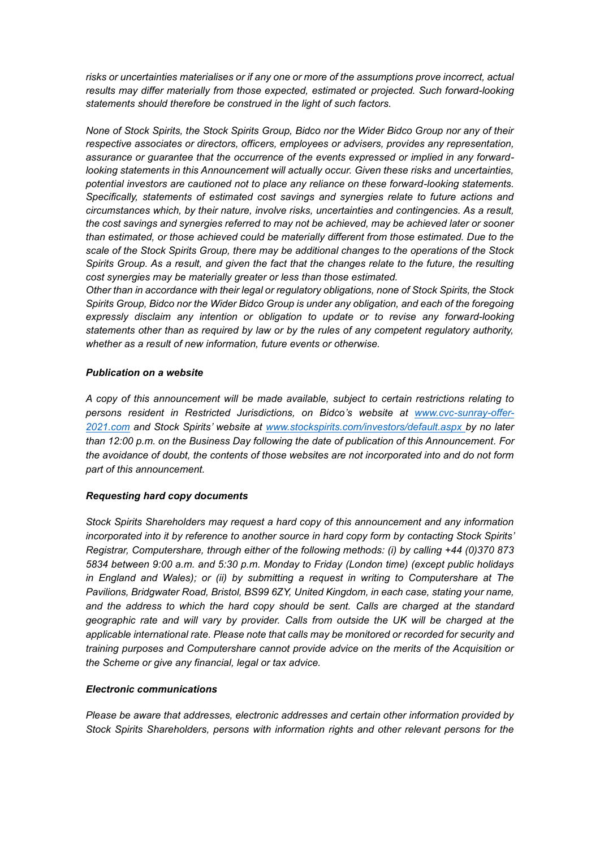*risks or uncertainties materialises or if any one or more of the assumptions prove incorrect, actual results may differ materially from those expected, estimated or projected. Such forward-looking statements should therefore be construed in the light of such factors.* 

*None of Stock Spirits, the Stock Spirits Group, Bidco nor the Wider Bidco Group nor any of their respective associates or directors, officers, employees or advisers, provides any representation, assurance or guarantee that the occurrence of the events expressed or implied in any forwardlooking statements in this Announcement will actually occur. Given these risks and uncertainties, potential investors are cautioned not to place any reliance on these forward-looking statements. Specifically, statements of estimated cost savings and synergies relate to future actions and circumstances which, by their nature, involve risks, uncertainties and contingencies. As a result, the cost savings and synergies referred to may not be achieved, may be achieved later or sooner than estimated, or those achieved could be materially different from those estimated. Due to the scale of the Stock Spirits Group, there may be additional changes to the operations of the Stock Spirits Group. As a result, and given the fact that the changes relate to the future, the resulting cost synergies may be materially greater or less than those estimated.* 

*Other than in accordance with their legal or regulatory obligations, none of Stock Spirits, the Stock Spirits Group, Bidco nor the Wider Bidco Group is under any obligation, and each of the foregoing expressly disclaim any intention or obligation to update or to revise any forward-looking statements other than as required by law or by the rules of any competent regulatory authority, whether as a result of new information, future events or otherwise.* 

# *Publication on a website*

*A copy of this announcement will be made available, subject to certain restrictions relating to persons resident in Restricted Jurisdictions, on Bidco's website at www.cvc-sunray-offer-2021.com and Stock Spirits' website at www.stockspirits.com/investors/default.aspx by no later than 12:00 p.m. on the Business Day following the date of publication of this Announcement. For the avoidance of doubt, the contents of those websites are not incorporated into and do not form part of this announcement.*

# *Requesting hard copy documents*

*Stock Spirits Shareholders may request a hard copy of this announcement and any information incorporated into it by reference to another source in hard copy form by contacting Stock Spirits' Registrar, Computershare, through either of the following methods: (i) by calling +44 (0)370 873 5834 between 9:00 a.m. and 5:30 p.m. Monday to Friday (London time) (except public holidays in England and Wales); or (ii) by submitting a request in writing to Computershare at The Pavilions, Bridgwater Road, Bristol, BS99 6ZY, United Kingdom, in each case, stating your name, and the address to which the hard copy should be sent. Calls are charged at the standard geographic rate and will vary by provider. Calls from outside the UK will be charged at the applicable international rate. Please note that calls may be monitored or recorded for security and training purposes and Computershare cannot provide advice on the merits of the Acquisition or the Scheme or give any financial, legal or tax advice.*

# *Electronic communications*

*Please be aware that addresses, electronic addresses and certain other information provided by Stock Spirits Shareholders, persons with information rights and other relevant persons for the*